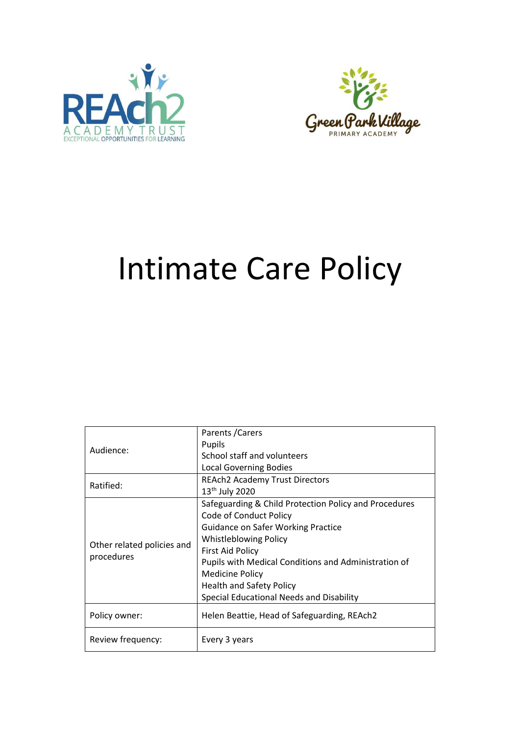



# Intimate Care Policy

|                            | Parents / Carers                                      |
|----------------------------|-------------------------------------------------------|
| Audience:                  | Pupils                                                |
|                            | School staff and volunteers                           |
|                            | <b>Local Governing Bodies</b>                         |
| Ratified:                  | <b>REAch2 Academy Trust Directors</b>                 |
|                            | 13 <sup>th</sup> July 2020                            |
|                            | Safeguarding & Child Protection Policy and Procedures |
|                            | Code of Conduct Policy                                |
|                            | <b>Guidance on Safer Working Practice</b>             |
| Other related policies and | <b>Whistleblowing Policy</b>                          |
| procedures                 | <b>First Aid Policy</b>                               |
|                            | Pupils with Medical Conditions and Administration of  |
|                            | <b>Medicine Policy</b>                                |
|                            | <b>Health and Safety Policy</b>                       |
|                            | Special Educational Needs and Disability              |
| Policy owner:              | Helen Beattie, Head of Safeguarding, REAch2           |
|                            |                                                       |
| Review frequency:          | Every 3 years                                         |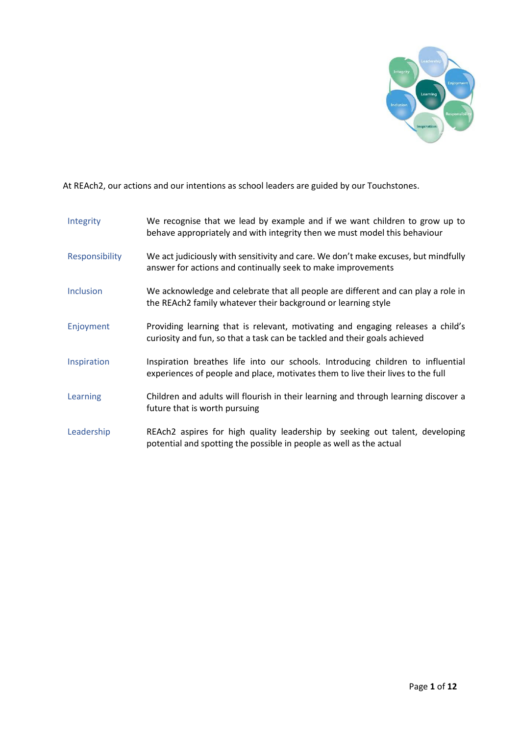

At REAch2, our actions and our intentions as school leaders are guided by our Touchstones.

| Integrity        | We recognise that we lead by example and if we want children to grow up to<br>behave appropriately and with integrity then we must model this behaviour            |
|------------------|--------------------------------------------------------------------------------------------------------------------------------------------------------------------|
| Responsibility   | We act judiciously with sensitivity and care. We don't make excuses, but mindfully<br>answer for actions and continually seek to make improvements                 |
| <b>Inclusion</b> | We acknowledge and celebrate that all people are different and can play a role in<br>the REAch2 family whatever their background or learning style                 |
| Enjoyment        | Providing learning that is relevant, motivating and engaging releases a child's<br>curiosity and fun, so that a task can be tackled and their goals achieved       |
| Inspiration      | Inspiration breathes life into our schools. Introducing children to influential<br>experiences of people and place, motivates them to live their lives to the full |
| Learning         | Children and adults will flourish in their learning and through learning discover a<br>future that is worth pursuing                                               |
| Leadership       | REAch2 aspires for high quality leadership by seeking out talent, developing<br>potential and spotting the possible in people as well as the actual                |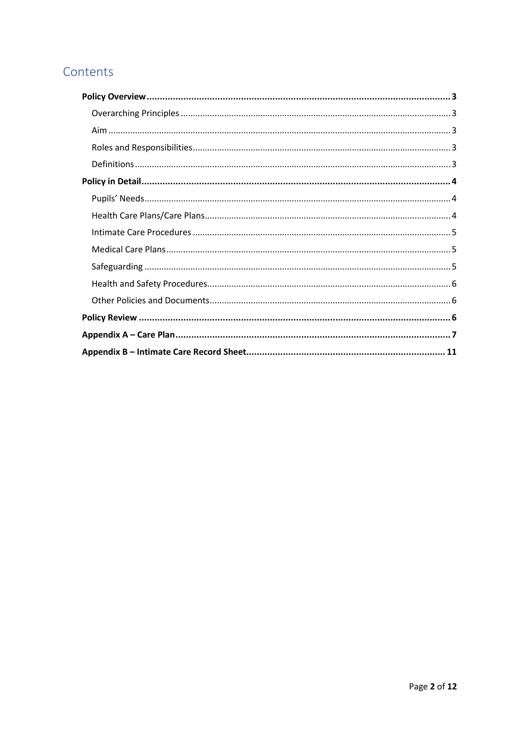## Contents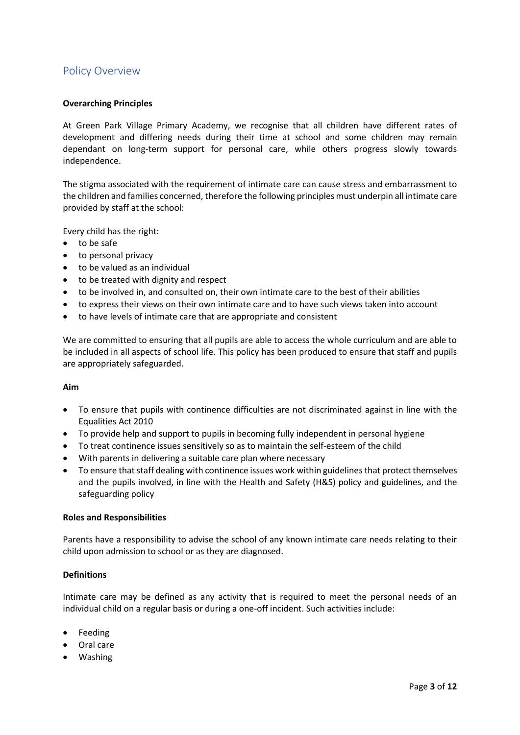## <span id="page-3-0"></span>Policy Overview

#### <span id="page-3-1"></span>**Overarching Principles**

At Green Park Village Primary Academy, we recognise that all children have different rates of development and differing needs during their time at school and some children may remain dependant on long-term support for personal care, while others progress slowly towards independence.

The stigma associated with the requirement of intimate care can cause stress and embarrassment to the children and families concerned, therefore the following principles must underpin all intimate care provided by staff at the school:

Every child has the right:

- to be safe
- to personal privacy
- to be valued as an individual
- to be treated with dignity and respect
- to be involved in, and consulted on, their own intimate care to the best of their abilities
- to express their views on their own intimate care and to have such views taken into account
- to have levels of intimate care that are appropriate and consistent

We are committed to ensuring that all pupils are able to access the whole curriculum and are able to be included in all aspects of school life. This policy has been produced to ensure that staff and pupils are appropriately safeguarded.

#### <span id="page-3-2"></span>**Aim**

- To ensure that pupils with continence difficulties are not discriminated against in line with the Equalities Act 2010
- To provide help and support to pupils in becoming fully independent in personal hygiene
- To treat continence issues sensitively so as to maintain the self-esteem of the child
- With parents in delivering a suitable care plan where necessary
- To ensure that staff dealing with continence issues work within guidelines that protect themselves and the pupils involved, in line with the Health and Safety (H&S) policy and guidelines, and the safeguarding policy

#### <span id="page-3-3"></span>**Roles and Responsibilities**

Parents have a responsibility to advise the school of any known intimate care needs relating to their child upon admission to school or as they are diagnosed.

#### <span id="page-3-4"></span>**Definitions**

Intimate care may be defined as any activity that is required to meet the personal needs of an individual child on a regular basis or during a one-off incident. Such activities include:

- Feeding
- Oral care
- Washing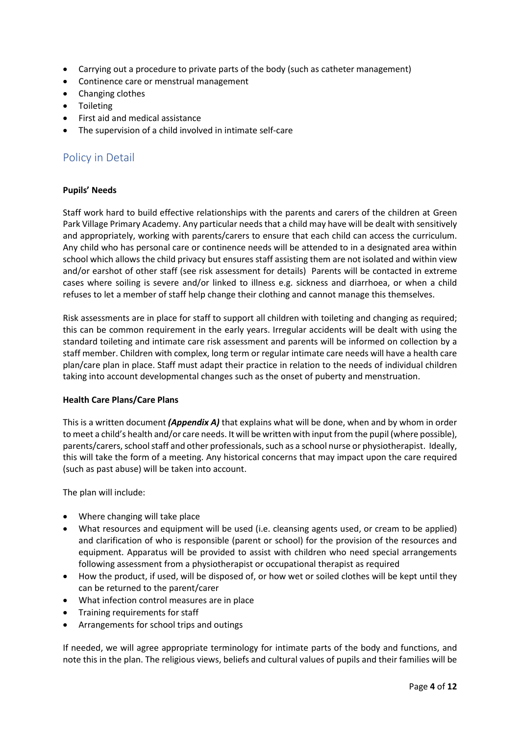- Carrying out a procedure to private parts of the body (such as catheter management)
- Continence care or menstrual management
- Changing clothes
- Toileting
- First aid and medical assistance
- The supervision of a child involved in intimate self-care

## <span id="page-4-0"></span>Policy in Detail

#### <span id="page-4-1"></span>**Pupils' Needs**

Staff work hard to build effective relationships with the parents and carers of the children at Green Park Village Primary Academy. Any particular needs that a child may have will be dealt with sensitively and appropriately, working with parents/carers to ensure that each child can access the curriculum. Any child who has personal care or continence needs will be attended to in a designated area within school which allows the child privacy but ensures staff assisting them are not isolated and within view and/or earshot of other staff (see risk assessment for details) Parents will be contacted in extreme cases where soiling is severe and/or linked to illness e.g. sickness and diarrhoea, or when a child refuses to let a member of staff help change their clothing and cannot manage this themselves.

Risk assessments are in place for staff to support all children with toileting and changing as required; this can be common requirement in the early years. Irregular accidents will be dealt with using the standard toileting and intimate care risk assessment and parents will be informed on collection by a staff member. Children with complex, long term or regular intimate care needs will have a health care plan/care plan in place. Staff must adapt their practice in relation to the needs of individual children taking into account developmental changes such as the onset of puberty and menstruation.

#### <span id="page-4-2"></span>**Health Care Plans/Care Plans**

This is a written document *(Appendix A)* that explains what will be done, when and by whom in order to meet a child's health and/or care needs. It will be written with input from the pupil (where possible), parents/carers, school staff and other professionals, such as a school nurse or physiotherapist. Ideally, this will take the form of a meeting. Any historical concerns that may impact upon the care required (such as past abuse) will be taken into account.

The plan will include:

- Where changing will take place
- What resources and equipment will be used (i.e. cleansing agents used, or cream to be applied) and clarification of who is responsible (parent or school) for the provision of the resources and equipment. Apparatus will be provided to assist with children who need special arrangements following assessment from a physiotherapist or occupational therapist as required
- How the product, if used, will be disposed of, or how wet or soiled clothes will be kept until they can be returned to the parent/carer
- What infection control measures are in place
- Training requirements for staff
- Arrangements for school trips and outings

If needed, we will agree appropriate terminology for intimate parts of the body and functions, and note this in the plan. The religious views, beliefs and cultural values of pupils and their families will be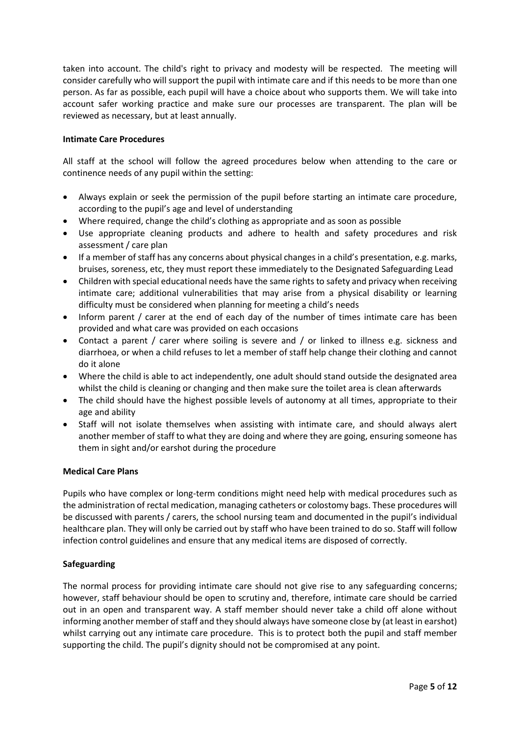taken into account. The child's right to privacy and modesty will be respected. The meeting will consider carefully who will support the pupil with intimate care and if this needs to be more than one person. As far as possible, each pupil will have a choice about who supports them. We will take into account safer working practice and make sure our processes are transparent. The plan will be reviewed as necessary, but at least annually.

#### <span id="page-5-0"></span>**Intimate Care Procedures**

All staff at the school will follow the agreed procedures below when attending to the care or continence needs of any pupil within the setting:

- Always explain or seek the permission of the pupil before starting an intimate care procedure, according to the pupil's age and level of understanding
- Where required, change the child's clothing as appropriate and as soon as possible
- Use appropriate cleaning products and adhere to health and safety procedures and risk assessment / care plan
- If a member of staff has any concerns about physical changes in a child's presentation, e.g. marks, bruises, soreness, etc, they must report these immediately to the Designated Safeguarding Lead
- Children with special educational needs have the same rights to safety and privacy when receiving intimate care; additional vulnerabilities that may arise from a physical disability or learning difficulty must be considered when planning for meeting a child's needs
- Inform parent / carer at the end of each day of the number of times intimate care has been provided and what care was provided on each occasions
- Contact a parent / carer where soiling is severe and / or linked to illness e.g. sickness and diarrhoea, or when a child refuses to let a member of staff help change their clothing and cannot do it alone
- Where the child is able to act independently, one adult should stand outside the designated area whilst the child is cleaning or changing and then make sure the toilet area is clean afterwards
- The child should have the highest possible levels of autonomy at all times, appropriate to their age and ability
- Staff will not isolate themselves when assisting with intimate care, and should always alert another member of staff to what they are doing and where they are going, ensuring someone has them in sight and/or earshot during the procedure

#### <span id="page-5-1"></span>**Medical Care Plans**

Pupils who have complex or long-term conditions might need help with medical procedures such as the administration of rectal medication, managing catheters or colostomy bags. These procedures will be discussed with parents / carers, the school nursing team and documented in the pupil's individual healthcare plan. They will only be carried out by staff who have been trained to do so. Staff will follow infection control guidelines and ensure that any medical items are disposed of correctly.

#### <span id="page-5-2"></span>**Safeguarding**

The normal process for providing intimate care should not give rise to any safeguarding concerns; however, staff behaviour should be open to scrutiny and, therefore, intimate care should be carried out in an open and transparent way. A staff member should never take a child off alone without informing another member of staff and they should always have someone close by (at least in earshot) whilst carrying out any intimate care procedure. This is to protect both the pupil and staff member supporting the child. The pupil's dignity should not be compromised at any point.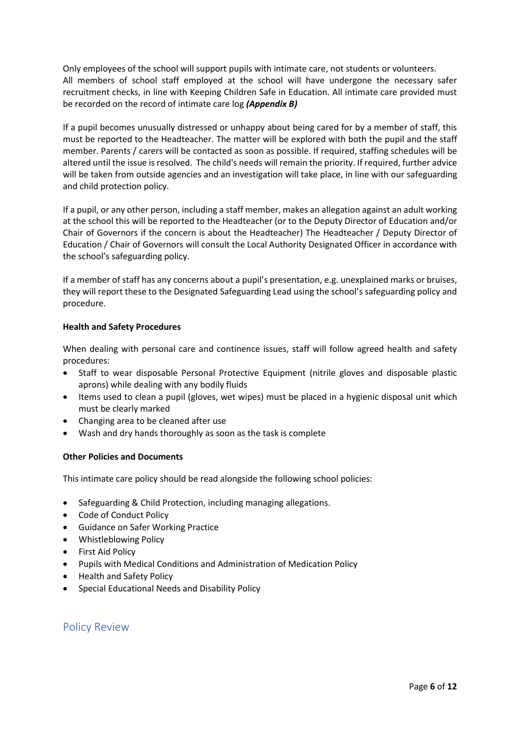Only employees of the school will support pupils with intimate care, not students or volunteers. All members of school staff employed at the school will have undergone the necessary safer recruitment checks, in line with Keeping Children Safe in Education. All intimate care provided must be recorded on the record of intimate care log *(Appendix B)*

If a pupil becomes unusually distressed or unhappy about being cared for by a member of staff, this must be reported to the Headteacher. The matter will be explored with both the pupil and the staff member. Parents / carers will be contacted as soon as possible. If required, staffing schedules will be altered until the issue is resolved. The child's needs will remain the priority. If required, further advice will be taken from outside agencies and an investigation will take place, in line with our safeguarding and child protection policy.

If a pupil, or any other person, including a staff member, makes an allegation against an adult working at the school this will be reported to the Headteacher (or to the Deputy Director of Education and/or Chair of Governors if the concern is about the Headteacher) The Headteacher / Deputy Director of Education / Chair of Governors will consult the Local Authority Designated Officer in accordance with the school's safeguarding policy.

If a member of staff has any concerns about a pupil's presentation, e.g. unexplained marks or bruises, they will report these to the Designated Safeguarding Lead using the school's safeguarding policy and procedure.

#### <span id="page-6-0"></span>**Health and Safety Procedures**

When dealing with personal care and continence issues, staff will follow agreed health and safety procedures:

- Staff to wear disposable Personal Protective Equipment (nitrile gloves and disposable plastic aprons) while dealing with any bodily fluids
- Items used to clean a pupil (gloves, wet wipes) must be placed in a hygienic disposal unit which must be clearly marked
- Changing area to be cleaned after use
- Wash and dry hands thoroughly as soon as the task is complete

#### <span id="page-6-1"></span>**Other Policies and Documents**

This intimate care policy should be read alongside the following school policies:

- Safeguarding & Child Protection, including managing allegations.
- Code of Conduct Policy
- Guidance on Safer Working Practice
- Whistleblowing Policy
- First Aid Policy
- Pupils with Medical Conditions and Administration of Medication Policy
- Health and Safety Policy
- Special Educational Needs and Disability Policy

#### <span id="page-6-2"></span>Policy Review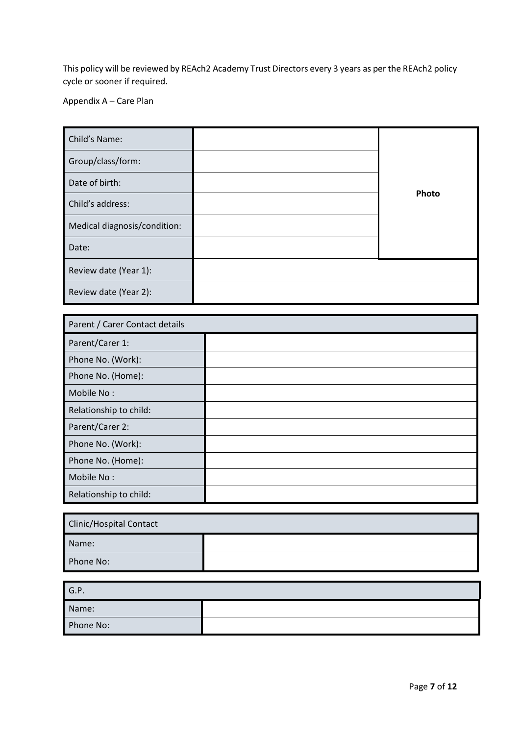This policy will be reviewed by REAch2 Academy Trust Directors every 3 years as per the REAch2 policy cycle or sooner if required.

<span id="page-7-0"></span>Appendix A – Care Plan

| Child's Name:                |       |
|------------------------------|-------|
| Group/class/form:            |       |
| Date of birth:               |       |
| Child's address:             | Photo |
| Medical diagnosis/condition: |       |
| Date:                        |       |
| Review date (Year 1):        |       |
| Review date (Year 2):        |       |

| Parent / Carer Contact details |  |
|--------------------------------|--|
| Parent/Carer 1:                |  |
| Phone No. (Work):              |  |
| Phone No. (Home):              |  |
| Mobile No:                     |  |
| Relationship to child:         |  |
| Parent/Carer 2:                |  |
| Phone No. (Work):              |  |
| Phone No. (Home):              |  |
| Mobile No:                     |  |
| Relationship to child:         |  |

| Clinic/Hospital Contact |  |  |  |
|-------------------------|--|--|--|
| Name:                   |  |  |  |
| Phone No:               |  |  |  |

| G.P.      |  |
|-----------|--|
| Name:     |  |
| Phone No: |  |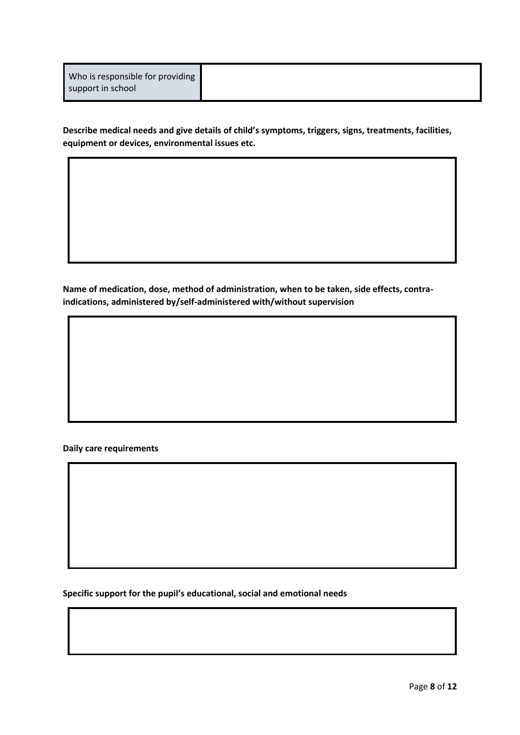**Describe medical needs and give details of child's symptoms, triggers, signs, treatments, facilities, equipment or devices, environmental issues etc.**

**Name of medication, dose, method of administration, when to be taken, side effects, contraindications, administered by/self-administered with/without supervision**

#### **Daily care requirements**

**Specific support for the pupil's educational, social and emotional needs**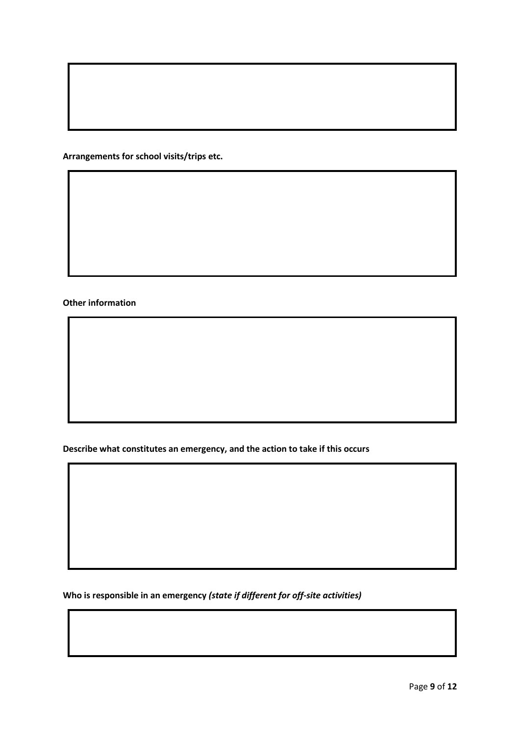**Arrangements for school visits/trips etc.**

**Other information**

**Describe what constitutes an emergency, and the action to take if this occurs**

**Who is responsible in an emergency** *(state if different for off-site activities)*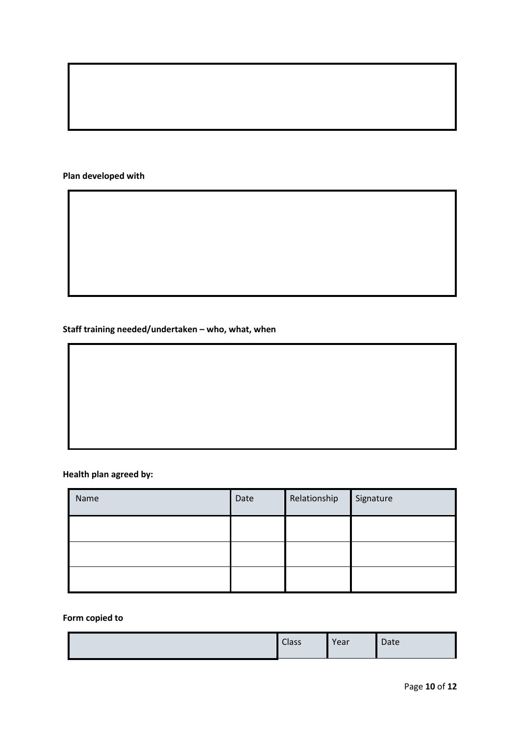### **Plan developed with**

**Staff training needed/undertaken – who, what, when**

## **Health plan agreed by:**

| Name | Date | Relationship | Signature |
|------|------|--------------|-----------|
|      |      |              |           |
|      |      |              |           |
|      |      |              |           |

## **Form copied to**

|  | <b>Class</b> | Year | Date |
|--|--------------|------|------|
|--|--------------|------|------|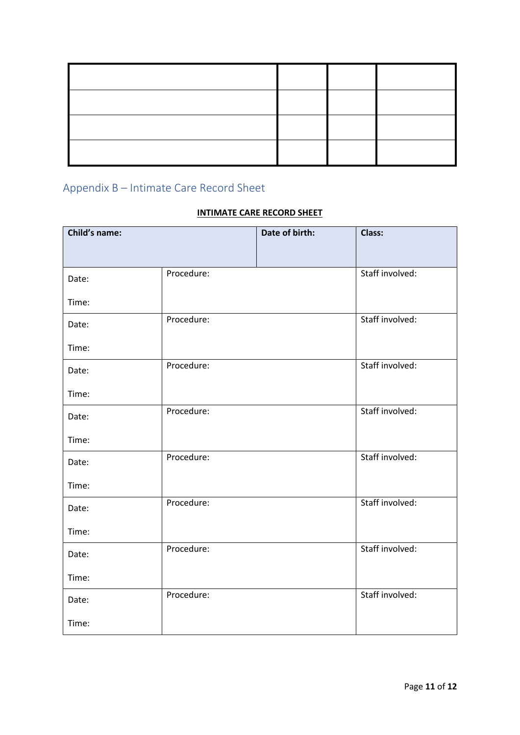# <span id="page-11-0"></span>Appendix B – Intimate Care Record Sheet

## **INTIMATE CARE RECORD SHEET**

| Child's name: |            | Date of birth: | Class:          |
|---------------|------------|----------------|-----------------|
|               |            |                |                 |
| Date:         | Procedure: |                | Staff involved: |
| Time:         |            |                |                 |
| Date:         | Procedure: |                | Staff involved: |
| Time:         |            |                |                 |
| Date:         | Procedure: |                | Staff involved: |
| Time:         |            |                |                 |
| Date:         | Procedure: |                | Staff involved: |
| Time:         |            |                |                 |
| Date:         | Procedure: |                | Staff involved: |
| Time:         |            |                |                 |
| Date:         | Procedure: |                | Staff involved: |
| Time:         |            |                |                 |
| Date:         | Procedure: |                | Staff involved: |
| Time:         |            |                |                 |
| Date:         | Procedure: |                | Staff involved: |
| Time:         |            |                |                 |